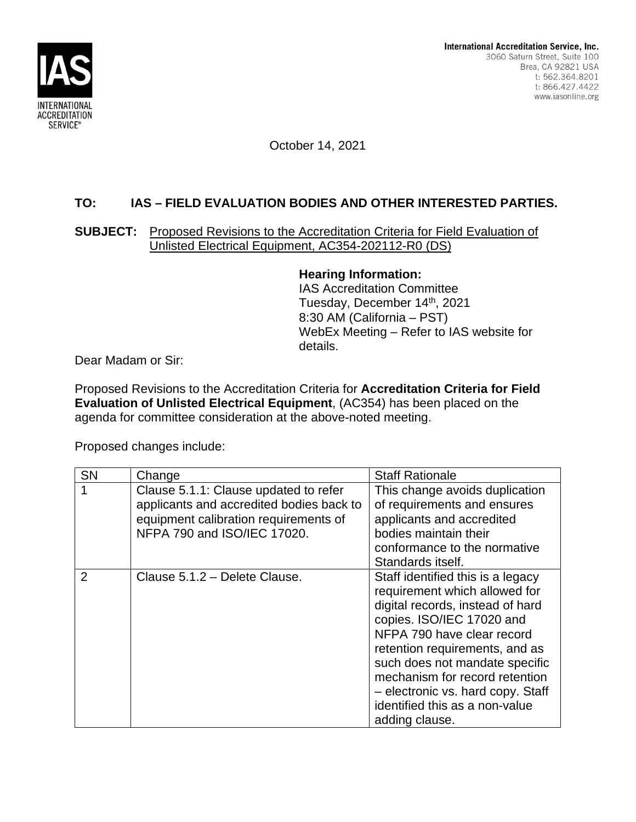

October 14, 2021

## **TO: IAS – FIELD EVALUATION BODIES AND OTHER INTERESTED PARTIES.**

## **SUBJECT:** Proposed Revisions to the Accreditation Criteria for Field Evaluation of Unlisted Electrical Equipment, AC354-202112-R0 (DS)

**Hearing Information:**

IAS Accreditation Committee Tuesday, December 14<sup>th</sup>, 2021 8:30 AM (California – PST) WebEx Meeting – Refer to IAS website for details.

Dear Madam or Sir:

Proposed Revisions to the Accreditation Criteria for **Accreditation Criteria for Field Evaluation of Unlisted Electrical Equipment**, (AC354) has been placed on the agenda for committee consideration at the above-noted meeting.

Proposed changes include:

| SN             | Change                                                                                                                                                    | <b>Staff Rationale</b>                                                                                                                                                                                                                                                                                                                                           |
|----------------|-----------------------------------------------------------------------------------------------------------------------------------------------------------|------------------------------------------------------------------------------------------------------------------------------------------------------------------------------------------------------------------------------------------------------------------------------------------------------------------------------------------------------------------|
|                | Clause 5.1.1: Clause updated to refer<br>applicants and accredited bodies back to<br>equipment calibration requirements of<br>NFPA 790 and ISO/IEC 17020. | This change avoids duplication<br>of requirements and ensures<br>applicants and accredited<br>bodies maintain their<br>conformance to the normative<br>Standards itself.                                                                                                                                                                                         |
| $\overline{2}$ | Clause 5.1.2 - Delete Clause.                                                                                                                             | Staff identified this is a legacy<br>requirement which allowed for<br>digital records, instead of hard<br>copies. ISO/IEC 17020 and<br>NFPA 790 have clear record<br>retention requirements, and as<br>such does not mandate specific<br>mechanism for record retention<br>- electronic vs. hard copy. Staff<br>identified this as a non-value<br>adding clause. |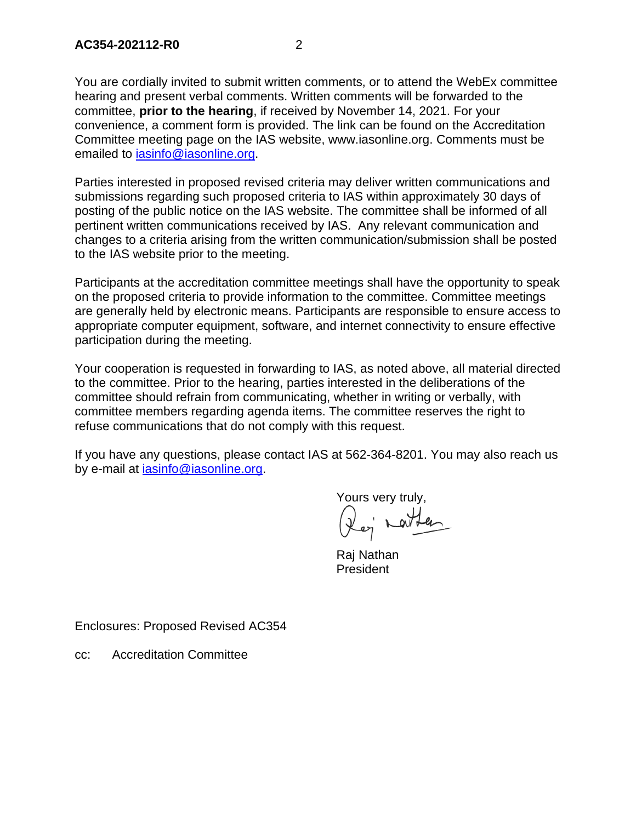You are cordially invited to submit written comments, or to attend the WebEx committee hearing and present verbal comments. Written comments will be forwarded to the committee, **prior to the hearing**, if received by November 14, 2021. For your convenience, a comment form is provided. The link can be found on the Accreditation Committee meeting page on the IAS website, www.iasonline.org. Comments must be emailed to iasinfo@iasonline.org.

Parties interested in proposed revised criteria may deliver written communications and submissions regarding such proposed criteria to IAS within approximately 30 days of posting of the public notice on the IAS website. The committee shall be informed of all pertinent written communications received by IAS. Any relevant communication and changes to a criteria arising from the written communication/submission shall be posted to the IAS website prior to the meeting.

Participants at the accreditation committee meetings shall have the opportunity to speak on the proposed criteria to provide information to the committee. Committee meetings are generally held by electronic means. Participants are responsible to ensure access to appropriate computer equipment, software, and internet connectivity to ensure effective participation during the meeting.

Your cooperation is requested in forwarding to IAS, as noted above, all material directed to the committee. Prior to the hearing, parties interested in the deliberations of the committee should refrain from communicating, whether in writing or verbally, with committee members regarding agenda items. The committee reserves the right to refuse communications that do not comply with this request.

If you have any questions, please contact IAS at 562-364-8201. You may also reach us by e-mail at iasinfo@iasonline.org.

Yours very truly,<br>Reg barted

Raj Nathan President

Enclosures: Proposed Revised AC354

cc: Accreditation Committee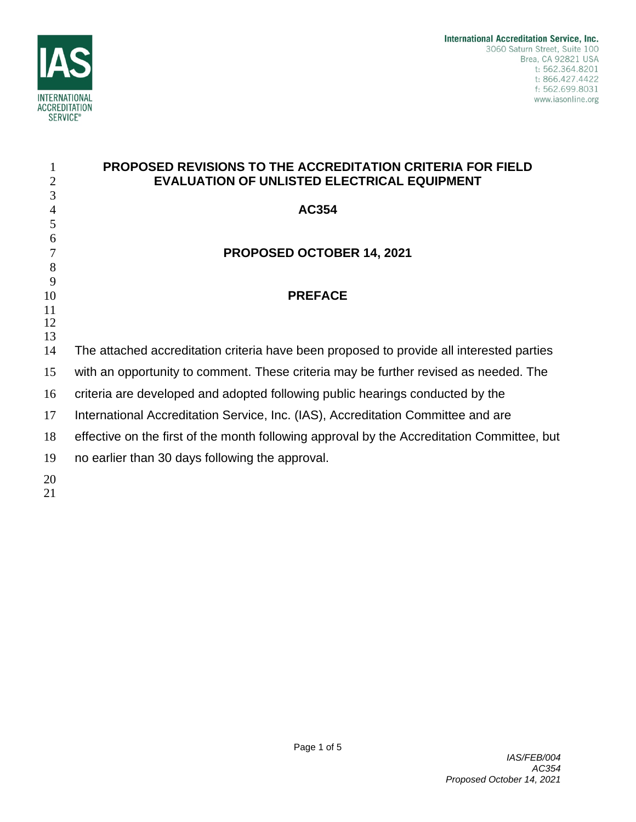

|                | <b>PROPOSED REVISIONS TO THE ACCREDITATION CRITERIA FOR FIELD</b>                          |
|----------------|--------------------------------------------------------------------------------------------|
| $\overline{2}$ | <b>EVALUATION OF UNLISTED ELECTRICAL EQUIPMENT</b>                                         |
| 3              |                                                                                            |
| 4<br>5         | <b>AC354</b>                                                                               |
| 6              |                                                                                            |
| 7              | <b>PROPOSED OCTOBER 14, 2021</b>                                                           |
| 8              |                                                                                            |
| 9              |                                                                                            |
| 10             | <b>PREFACE</b>                                                                             |
| 11<br>12       |                                                                                            |
| 13             |                                                                                            |
| 14             | The attached accreditation criteria have been proposed to provide all interested parties   |
| 15             | with an opportunity to comment. These criteria may be further revised as needed. The       |
| 16             | criteria are developed and adopted following public hearings conducted by the              |
| 17             | International Accreditation Service, Inc. (IAS), Accreditation Committee and are           |
| 18             | effective on the first of the month following approval by the Accreditation Committee, but |
| 19             | no earlier than 30 days following the approval.                                            |
| 20<br>21       |                                                                                            |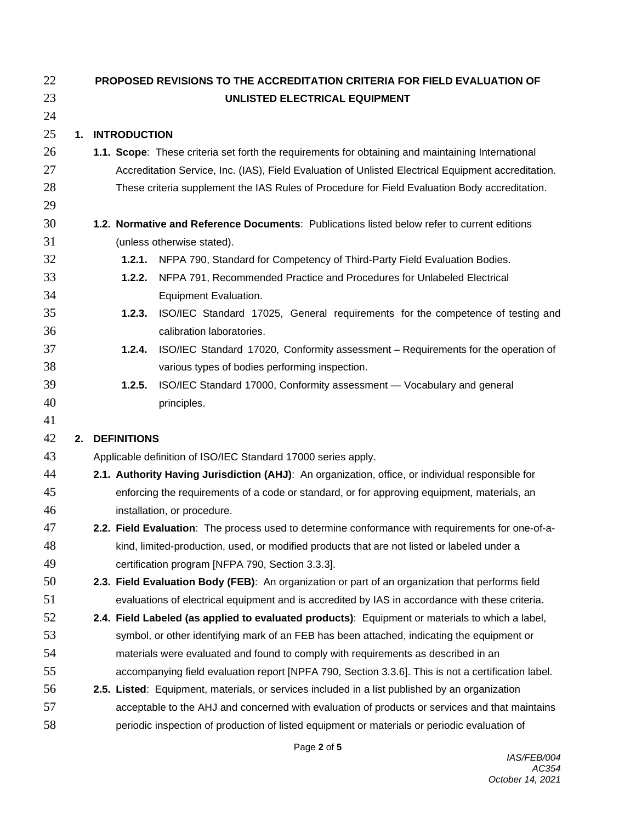| 22 | PROPOSED REVISIONS TO THE ACCREDITATION CRITERIA FOR FIELD EVALUATION OF |                                                                                                     |  |  |  |
|----|--------------------------------------------------------------------------|-----------------------------------------------------------------------------------------------------|--|--|--|
| 23 | UNLISTED ELECTRICAL EQUIPMENT                                            |                                                                                                     |  |  |  |
| 24 |                                                                          |                                                                                                     |  |  |  |
| 25 | 1. INTRODUCTION                                                          |                                                                                                     |  |  |  |
| 26 |                                                                          | 1.1. Scope: These criteria set forth the requirements for obtaining and maintaining International   |  |  |  |
| 27 |                                                                          | Accreditation Service, Inc. (IAS), Field Evaluation of Unlisted Electrical Equipment accreditation. |  |  |  |
| 28 |                                                                          | These criteria supplement the IAS Rules of Procedure for Field Evaluation Body accreditation.       |  |  |  |
| 29 |                                                                          |                                                                                                     |  |  |  |
| 30 |                                                                          | 1.2. Normative and Reference Documents: Publications listed below refer to current editions         |  |  |  |
| 31 |                                                                          | (unless otherwise stated).                                                                          |  |  |  |
| 32 |                                                                          | 1.2.1. NFPA 790, Standard for Competency of Third-Party Field Evaluation Bodies.                    |  |  |  |
| 33 | 1.2.2.                                                                   | NFPA 791, Recommended Practice and Procedures for Unlabeled Electrical                              |  |  |  |
| 34 |                                                                          | Equipment Evaluation.                                                                               |  |  |  |
| 35 | 1.2.3.                                                                   | ISO/IEC Standard 17025, General requirements for the competence of testing and                      |  |  |  |
| 36 |                                                                          | calibration laboratories.                                                                           |  |  |  |
| 37 | 1.2.4.                                                                   | ISO/IEC Standard 17020, Conformity assessment - Requirements for the operation of                   |  |  |  |
| 38 |                                                                          | various types of bodies performing inspection.                                                      |  |  |  |
| 39 | 1.2.5.                                                                   | ISO/IEC Standard 17000, Conformity assessment - Vocabulary and general                              |  |  |  |
| 40 |                                                                          | principles.                                                                                         |  |  |  |
| 41 |                                                                          |                                                                                                     |  |  |  |
| 42 | 2. DEFINITIONS                                                           |                                                                                                     |  |  |  |
| 43 |                                                                          | Applicable definition of ISO/IEC Standard 17000 series apply.                                       |  |  |  |
| 44 |                                                                          | 2.1. Authority Having Jurisdiction (AHJ): An organization, office, or individual responsible for    |  |  |  |
| 45 |                                                                          | enforcing the requirements of a code or standard, or for approving equipment, materials, an         |  |  |  |
| 46 |                                                                          | installation, or procedure.                                                                         |  |  |  |
| 47 |                                                                          | 2.2. Field Evaluation: The process used to determine conformance with requirements for one-of-a-    |  |  |  |
| 48 |                                                                          | kind, limited-production, used, or modified products that are not listed or labeled under a         |  |  |  |
| 49 |                                                                          | certification program [NFPA 790, Section 3.3.3].                                                    |  |  |  |
| 50 |                                                                          | 2.3. Field Evaluation Body (FEB): An organization or part of an organization that performs field    |  |  |  |
| 51 |                                                                          | evaluations of electrical equipment and is accredited by IAS in accordance with these criteria.     |  |  |  |
| 52 |                                                                          | 2.4. Field Labeled (as applied to evaluated products): Equipment or materials to which a label,     |  |  |  |
| 53 |                                                                          | symbol, or other identifying mark of an FEB has been attached, indicating the equipment or          |  |  |  |
| 54 |                                                                          | materials were evaluated and found to comply with requirements as described in an                   |  |  |  |
| 55 |                                                                          | accompanying field evaluation report [NPFA 790, Section 3.3.6]. This is not a certification label.  |  |  |  |
| 56 |                                                                          | 2.5. Listed: Equipment, materials, or services included in a list published by an organization      |  |  |  |
| 57 |                                                                          | acceptable to the AHJ and concerned with evaluation of products or services and that maintains      |  |  |  |
| 58 |                                                                          | periodic inspection of production of listed equipment or materials or periodic evaluation of        |  |  |  |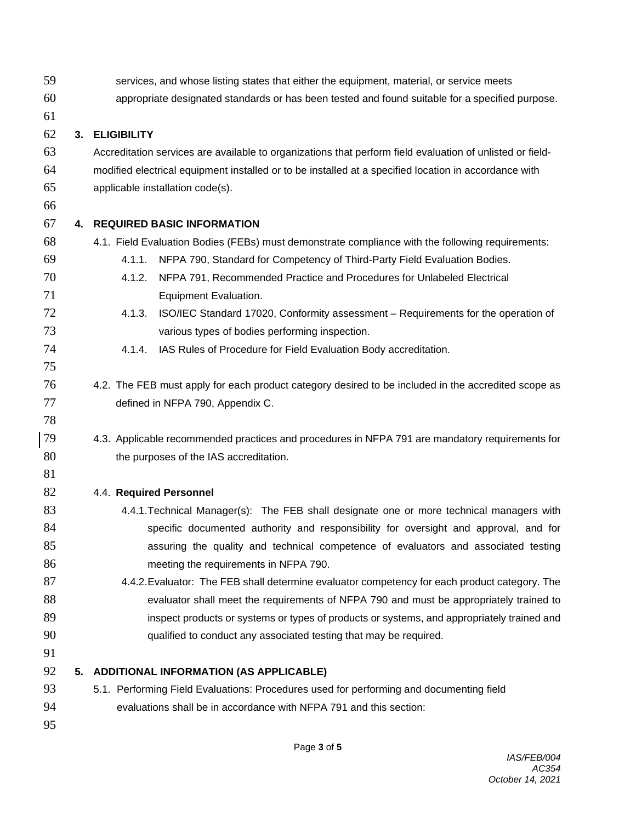services, and whose listing states that either the equipment, material, or service meets appropriate designated standards or has been tested and found suitable for a specified purpose. **3. ELIGIBILITY** Accreditation services are available to organizations that perform field evaluation of unlisted or field-modified electrical equipment installed or to be installed at a specified location in accordance with applicable installation code(s). **4. REQUIRED BASIC INFORMATION** 4.1. Field Evaluation Bodies (FEBs) must demonstrate compliance with the following requirements: 4.1.1. NFPA 790, Standard for Competency of Third-Party Field Evaluation Bodies. 4.1.2. NFPA 791, Recommended Practice and Procedures for Unlabeled Electrical Equipment Evaluation. 4.1.3. ISO/IEC Standard 17020, Conformity assessment – Requirements for the operation of various types of bodies performing inspection. 4.1.4. IAS Rules of Procedure for Field Evaluation Body accreditation. 4.2. The FEB must apply for each product category desired to be included in the accredited scope as defined in NFPA 790, Appendix C. 4.3. Applicable recommended practices and procedures in NFPA 791 are mandatory requirements for 80 the purposes of the IAS accreditation. 4.4. **Required Personnel** 4.4.1.Technical Manager(s): The FEB shall designate one or more technical managers with 84 specific documented authority and responsibility for oversight and approval, and for assuring the quality and technical competence of evaluators and associated testing meeting the requirements in NFPA 790. 4.4.2.Evaluator: The FEB shall determine evaluator competency for each product category. The 88 evaluator shall meet the requirements of NFPA 790 and must be appropriately trained to inspect products or systems or types of products or systems, and appropriately trained and qualified to conduct any associated testing that may be required. **5. ADDITIONAL INFORMATION (AS APPLICABLE)** 5.1. Performing Field Evaluations: Procedures used for performing and documenting field evaluations shall be in accordance with NFPA 791 and this section: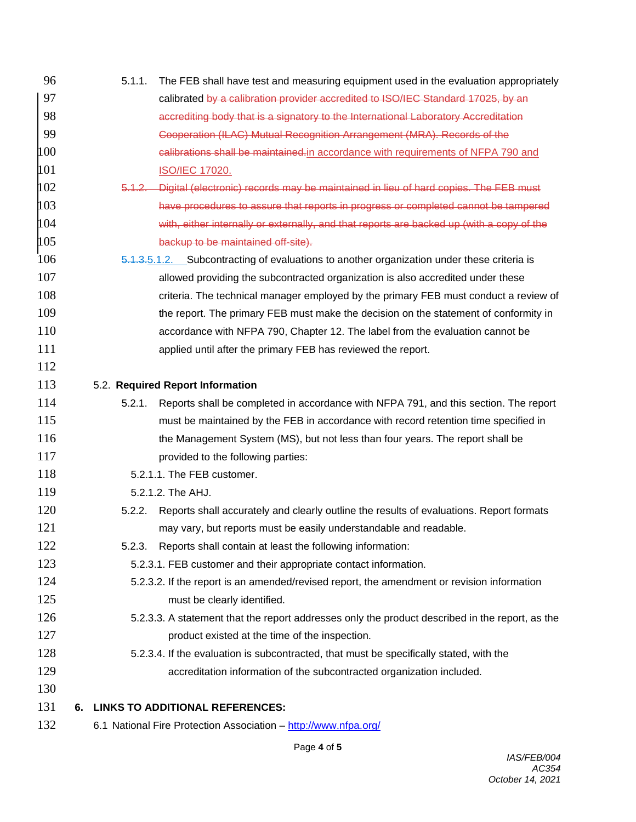| 96  |    | 5.1.1.            | The FEB shall have test and measuring equipment used in the evaluation appropriately            |
|-----|----|-------------------|-------------------------------------------------------------------------------------------------|
| 97  |    |                   | calibrated by a calibration provider accredited to ISO/IEC Standard 17025, by an                |
| 98  |    |                   | accrediting body that is a signatory to the International Laboratory Accreditation              |
| 99  |    |                   | Cooperation (ILAC) Mutual Recognition Arrangement (MRA). Records of the                         |
| 100 |    |                   | calibrations shall be maintained in accordance with requirements of NFPA 790 and                |
| 101 |    |                   | <b>ISO/IEC 17020.</b>                                                                           |
| 102 |    | <del>5.1.2.</del> | Digital (electronic) records may be maintained in lieu of hard copies. The FEB must             |
| 103 |    |                   | have procedures to assure that reports in progress or completed cannot be tampered              |
| 104 |    |                   | with, either internally or externally, and that reports are backed up (with a copy of the       |
| 105 |    |                   | backup to be maintained off-site).                                                              |
| 106 |    |                   | 5.1.3.5.1.2. Subcontracting of evaluations to another organization under these criteria is      |
| 107 |    |                   | allowed providing the subcontracted organization is also accredited under these                 |
| 108 |    |                   | criteria. The technical manager employed by the primary FEB must conduct a review of            |
| 109 |    |                   | the report. The primary FEB must make the decision on the statement of conformity in            |
| 110 |    |                   | accordance with NFPA 790, Chapter 12. The label from the evaluation cannot be                   |
| 111 |    |                   | applied until after the primary FEB has reviewed the report.                                    |
| 112 |    |                   |                                                                                                 |
| 113 |    |                   | 5.2. Required Report Information                                                                |
| 114 |    | 5.2.1.            | Reports shall be completed in accordance with NFPA 791, and this section. The report            |
| 115 |    |                   | must be maintained by the FEB in accordance with record retention time specified in             |
| 116 |    |                   | the Management System (MS), but not less than four years. The report shall be                   |
| 117 |    |                   | provided to the following parties:                                                              |
| 118 |    |                   | 5.2.1.1. The FEB customer.                                                                      |
| 119 |    |                   | 5.2.1.2. The AHJ.                                                                               |
| 120 |    | 5.2.2.            | Reports shall accurately and clearly outline the results of evaluations. Report formats         |
| 121 |    |                   | may vary, but reports must be easily understandable and readable.                               |
| 122 |    | 5.2.3.            | Reports shall contain at least the following information:                                       |
| 123 |    |                   | 5.2.3.1. FEB customer and their appropriate contact information.                                |
| 124 |    |                   | 5.2.3.2. If the report is an amended/revised report, the amendment or revision information      |
| 125 |    |                   | must be clearly identified.                                                                     |
| 126 |    |                   | 5.2.3.3. A statement that the report addresses only the product described in the report, as the |
| 127 |    |                   | product existed at the time of the inspection.                                                  |
| 128 |    |                   | 5.2.3.4. If the evaluation is subcontracted, that must be specifically stated, with the         |
| 129 |    |                   | accreditation information of the subcontracted organization included.                           |
| 130 |    |                   |                                                                                                 |
| 131 | 6. |                   | <b>LINKS TO ADDITIONAL REFERENCES:</b>                                                          |
| 132 |    |                   | 6.1 National Fire Protection Association - http://www.nfpa.org/                                 |